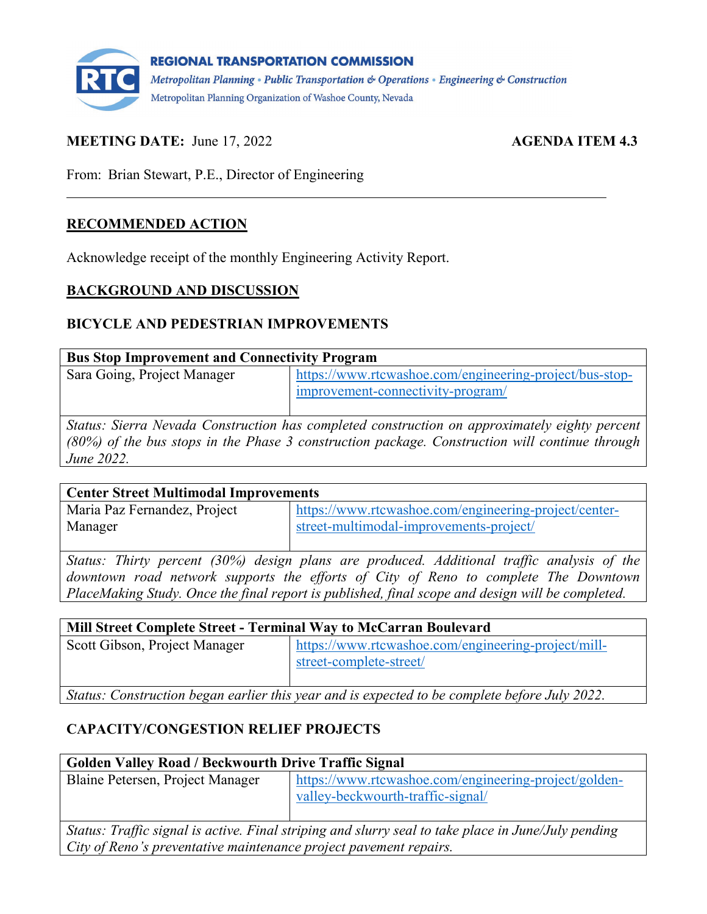

### **MEETING DATE:** June 17, 2022 **AGENDA ITEM 4.3**

From: Brian Stewart, P.E., Director of Engineering

#### **RECOMMENDED ACTION**

Acknowledge receipt of the monthly Engineering Activity Report.

#### **BACKGROUND AND DISCUSSION**

#### **BICYCLE AND PEDESTRIAN IMPROVEMENTS**

| <b>Bus Stop Improvement and Connectivity Program</b> |                                                                                              |
|------------------------------------------------------|----------------------------------------------------------------------------------------------|
| Sara Going, Project Manager                          | https://www.rtcwashoe.com/engineering-project/bus-stop-<br>improvement-connectivity-program/ |

*Status: Sierra Nevada Construction has completed construction on approximately eighty percent (80%) of the bus stops in the Phase 3 construction package. Construction will continue through June 2022.* 

| <b>Center Street Multimodal Improvements</b> |                                                       |
|----------------------------------------------|-------------------------------------------------------|
| Maria Paz Fernandez, Project                 | https://www.rtcwashoe.com/engineering-project/center- |
| Manager                                      | street-multimodal-improvements-project/               |

*Status: Thirty percent (30%) design plans are produced. Additional traffic analysis of the downtown road network supports the efforts of City of Reno to complete The Downtown PlaceMaking Study. Once the final report is published, final scope and design will be completed.* 

| Mill Street Complete Street - Terminal Way to McCarran Boulevard |                                                                                |
|------------------------------------------------------------------|--------------------------------------------------------------------------------|
| Scott Gibson, Project Manager                                    | https://www.rtcwashoe.com/engineering-project/mill-<br>street-complete-street/ |

*Status: Construction began earlier this year and is expected to be complete before July 2022.* 

## **CAPACITY/CONGESTION RELIEF PROJECTS**

| <b>Golden Valley Road / Beckwourth Drive Traffic Signal</b> |                                                                                           |
|-------------------------------------------------------------|-------------------------------------------------------------------------------------------|
| Blaine Petersen, Project Manager                            | https://www.rtcwashoe.com/engineering-project/golden-<br>valley-beckwourth-traffic-signal |
| $\sim$<br>$\sim$                                            | .                                                                                         |

*Status: Traffic signal is active. Final striping and slurry seal to take place in June/July pending City of Reno's preventative maintenance project pavement repairs.*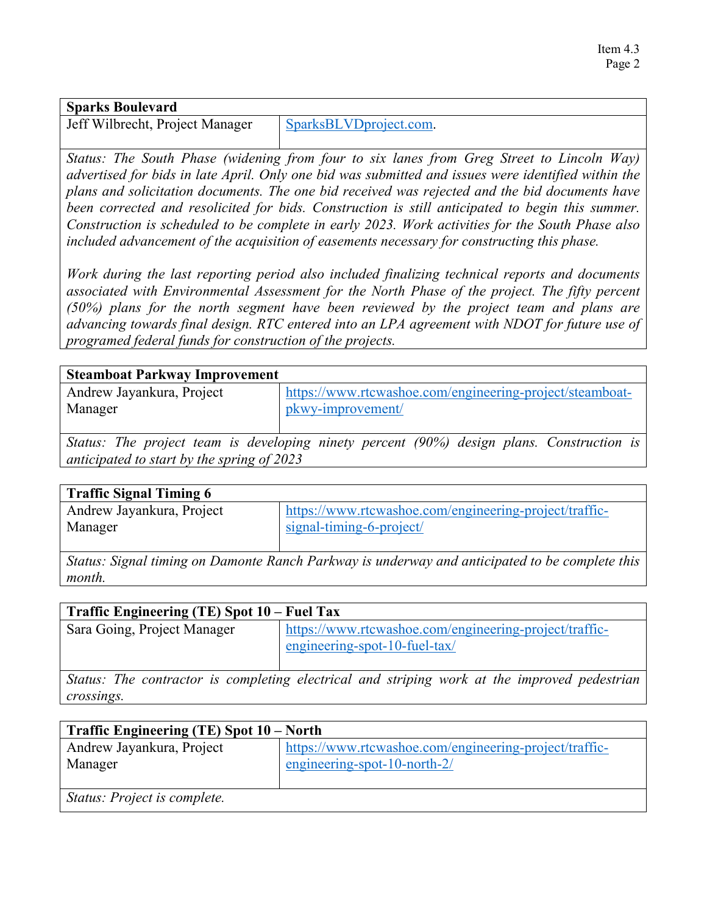## **Sparks Boulevard** Jeff Wilbrecht, Project Manager [SparksBLVDproject.com.](https://sparks-boulevard-project.constantcontactsites.com/)

*Status: The South Phase (widening from four to six lanes from Greg Street to Lincoln Way) advertised for bids in late April. Only one bid was submitted and issues were identified within the plans and solicitation documents. The one bid received was rejected and the bid documents have been corrected and resolicited for bids. Construction is still anticipated to begin this summer. Construction is scheduled to be complete in early 2023. Work activities for the South Phase also included advancement of the acquisition of easements necessary for constructing this phase.* 

*Work during the last reporting period also included finalizing technical reports and documents associated with Environmental Assessment for the North Phase of the project. The fifty percent (50%) plans for the north segment have been reviewed by the project team and plans are advancing towards final design. RTC entered into an LPA agreement with NDOT for future use of programed federal funds for construction of the projects.*

| <b>Steamboat Parkway Improvement</b> |                                                          |
|--------------------------------------|----------------------------------------------------------|
| Andrew Jayankura, Project            | https://www.rtcwashoe.com/engineering-project/steamboat- |
| Manager                              | pkwy-improvement/                                        |
| $\sim$                               |                                                          |

*Status: The project team is developing ninety percent (90%) design plans. Construction is anticipated to start by the spring of 2023*

| <b>Traffic Signal Timing 6</b> |                                                        |
|--------------------------------|--------------------------------------------------------|
| Andrew Jayankura, Project      | https://www.rtcwashoe.com/engineering-project/traffic- |
| Manager                        | signal-timing-6-project                                |
|                                |                                                        |

*Status: Signal timing on Damonte Ranch Parkway is underway and anticipated to be complete this month.*

| Traffic Engineering (TE) Spot 10 – Fuel Tax                                                  |                                                                                         |
|----------------------------------------------------------------------------------------------|-----------------------------------------------------------------------------------------|
| Sara Going, Project Manager                                                                  | https://www.rtcwashoe.com/engineering-project/traffic-<br>engineering-spot-10-fuel-tax/ |
| Status: The contractor is completing electrical and striping work at the improved pedestrian |                                                                                         |

*crossings.*

| Traffic Engineering (TE) Spot 10 – North |                                                                                           |
|------------------------------------------|-------------------------------------------------------------------------------------------|
| Andrew Jayankura, Project<br>Manager     | https://www.rtcwashoe.com/engineering-project/traffic-<br>engineering-spot-10-north- $2/$ |
| Status: Project is complete.             |                                                                                           |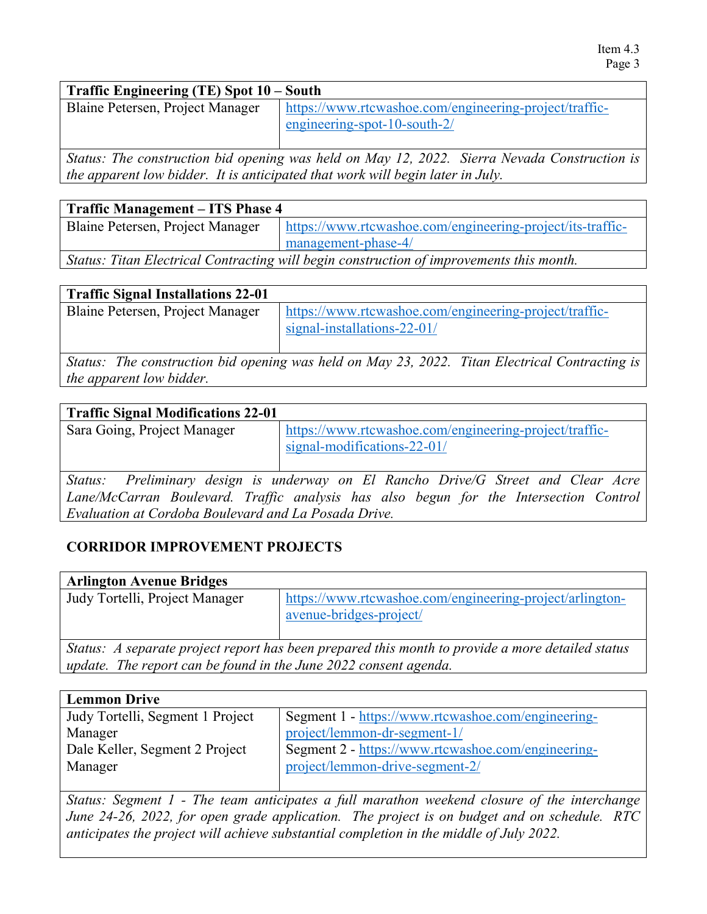#### **Traffic Engineering (TE) Spot 10 – South**

| Blaine Petersen, Project Manager   https://www.rtcwashoe.com/engineering-project/traffic- |
|-------------------------------------------------------------------------------------------|
| $\epsilon$ engineering-spot-10-south-2/                                                   |

*Status: The construction bid opening was held on May 12, 2022. Sierra Nevada Construction is the apparent low bidder. It is anticipated that work will begin later in July.* 

| <b>Traffic Management – ITS Phase 4</b>                                                  |                                                            |
|------------------------------------------------------------------------------------------|------------------------------------------------------------|
| Blaine Petersen, Project Manager                                                         | https://www.rtcwashoe.com/engineering-project/its-traffic- |
|                                                                                          | management-phase-4/                                        |
| Status: Titan Electrical Contracting will begin construction of improvements this month. |                                                            |

| <b>Traffic Signal Installations 22-01</b> |                                                        |
|-------------------------------------------|--------------------------------------------------------|
| Blaine Petersen, Project Manager          | https://www.rtcwashoe.com/engineering-project/traffic- |
|                                           | signal-installations-22-01/                            |
|                                           |                                                        |

*Status: The construction bid opening was held on May 23, 2022. Titan Electrical Contracting is the apparent low bidder.*

| <b>Traffic Signal Modifications 22-01</b>                                             |                                                        |
|---------------------------------------------------------------------------------------|--------------------------------------------------------|
| Sara Going, Project Manager                                                           | https://www.rtcwashoe.com/engineering-project/traffic- |
|                                                                                       | signal-modifications-22-01/                            |
|                                                                                       |                                                        |
| Status: Preliminary design is underway on El Rancho Drive/G Street and Clear Acre     |                                                        |
| Lane/McCarran Boulevard. Traffic analysis has also begun for the Intersection Control |                                                        |
| Evaluation at Cordoba Boulevard and La Posada Drive.                                  |                                                        |
|                                                                                       |                                                        |

## **CORRIDOR IMPROVEMENT PROJECTS**

| <b>Arlington Avenue Bridges</b>                                                                                                                                      |                                                                                     |
|----------------------------------------------------------------------------------------------------------------------------------------------------------------------|-------------------------------------------------------------------------------------|
| Judy Tortelli, Project Manager                                                                                                                                       | https://www.rtcwashoe.com/engineering-project/arlington-<br>avenue-bridges-project/ |
| Status: A separate project report has been prepared this month to provide a more detailed status<br>update. The report can be found in the June 2022 consent agenda. |                                                                                     |

| <b>Lemmon Drive</b>              |                                                    |
|----------------------------------|----------------------------------------------------|
| Judy Tortelli, Segment 1 Project | Segment 1 - https://www.rtcwashoe.com/engineering- |
| Manager                          | project/lemmon-dr-segment-1/                       |
| Dale Keller, Segment 2 Project   | Segment 2 - https://www.rtcwashoe.com/engineering- |
| Manager                          | project/lemmon-drive-segment-2/                    |
|                                  |                                                    |

*Status: Segment 1 - The team anticipates a full marathon weekend closure of the interchange June 24-26, 2022, for open grade application. The project is on budget and on schedule. RTC anticipates the project will achieve substantial completion in the middle of July 2022.*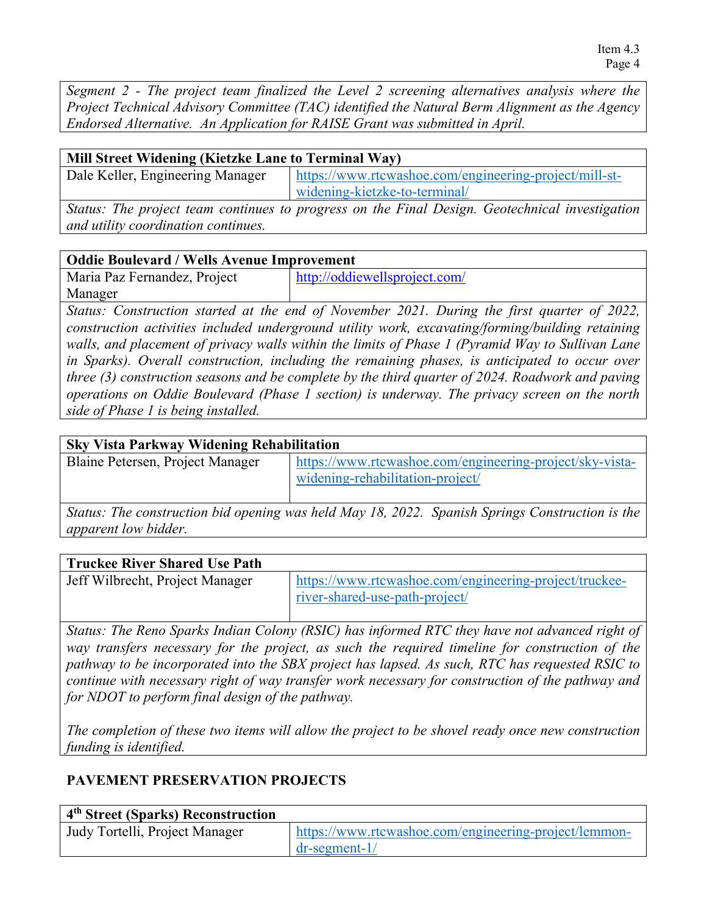*Segment 2 - The project team finalized the Level 2 screening alternatives analysis where the Project Technical Advisory Committee (TAC) identified the Natural Berm Alignment as the Agency Endorsed Alternative. An Application for RAISE Grant was submitted in April.*

| Mill Street Widening (Kietzke Lane to Terminal Way) |                                                                                             |
|-----------------------------------------------------|---------------------------------------------------------------------------------------------|
| Dale Keller, Engineering Manager                    | https://www.rtcwashoe.com/engineering-project/mill-st-                                      |
|                                                     | widening-kietzke-to-terminal/                                                               |
|                                                     | Status: The project team continues to progress on the Final Design. Geotechnical investigat |

*Eam continues to progress on the Final Design. Geotechnical investigation and utility coordination continues.* 

## **Oddie Boulevard / Wells Avenue Improvement**

| Maria Paz Fernandez, Project | http://oddiewellsproject.com/ |
|------------------------------|-------------------------------|
| Manager                      |                               |

*Status: Construction started at the end of November 2021. During the first quarter of 2022, construction activities included underground utility work, excavating/forming/building retaining walls, and placement of privacy walls within the limits of Phase 1 (Pyramid Way to Sullivan Lane in Sparks). Overall construction, including the remaining phases, is anticipated to occur over three (3) construction seasons and be complete by the third quarter of 2024. Roadwork and paving operations on Oddie Boulevard (Phase 1 section) is underway. The privacy screen on the north side of Phase 1 is being installed.*

## **Sky Vista Parkway Widening Rehabilitation**

| Blaine Petersen, Project Manager | https://www.rtcwashoe.com/engineering-project/sky-vista- |
|----------------------------------|----------------------------------------------------------|
|                                  | widening-rehabilitation-project                          |

*Status: The construction bid opening was held May 18, 2022. Spanish Springs Construction is the apparent low bidder.* 

## **Truckee River Shared Use Path**

| Jeff Wilbrecht, Project Manager | https://www.rtcwashoe.com/engineering-project/truckee- |
|---------------------------------|--------------------------------------------------------|
|                                 | river-shared-use-path-project/                         |

*Status: The Reno Sparks Indian Colony (RSIC) has informed RTC they have not advanced right of way transfers necessary for the project, as such the required timeline for construction of the pathway to be incorporated into the SBX project has lapsed. As such, RTC has requested RSIC to continue with necessary right of way transfer work necessary for construction of the pathway and for NDOT to perform final design of the pathway.*

*The completion of these two items will allow the project to be shovel ready once new construction funding is identified.*

## **PAVEMENT PRESERVATION PROJECTS**

| 4 <sup>th</sup> Street (Sparks) Reconstruction |                                                       |
|------------------------------------------------|-------------------------------------------------------|
| Judy Tortelli, Project Manager                 | https://www.rtcwashoe.com/engineering-project/lemmon- |
|                                                | $dr$ -segment- $1/$                                   |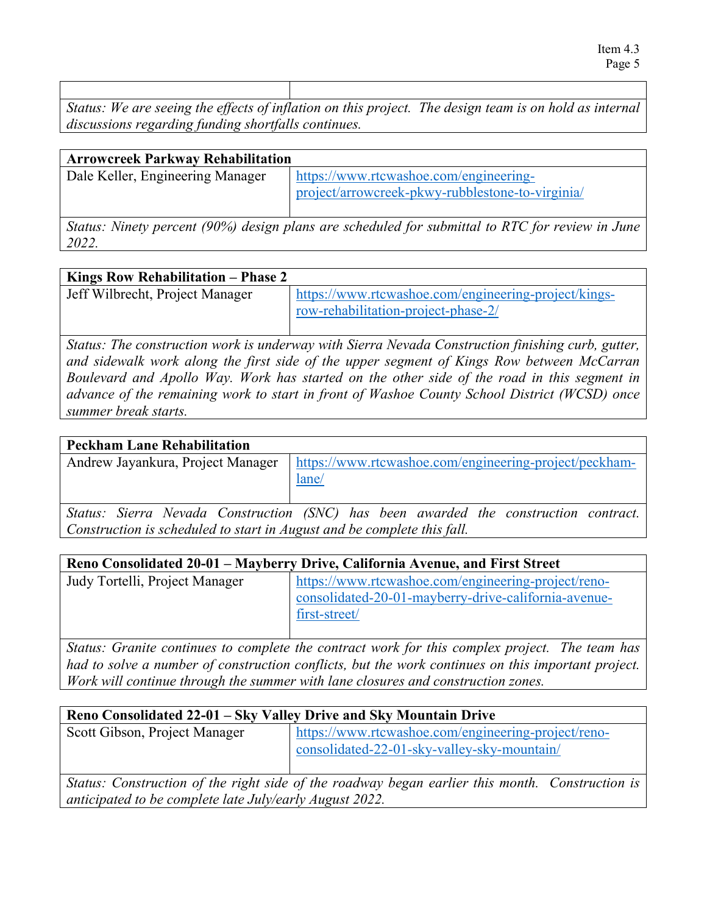*Status: We are seeing the effects of inflation on this project. The design team is on hold as internal discussions regarding funding shortfalls continues.* 

| <b>Arrowcreek Parkway Rehabilitation</b> |                                                                                                 |
|------------------------------------------|-------------------------------------------------------------------------------------------------|
| Dale Keller, Engineering Manager         | https://www.rtcwashoe.com/engineering-                                                          |
|                                          | project/arrowcreek-pkwy-rubblestone-to-virginia/                                                |
|                                          | Status: Ninety percent (90%) design plans are scheduled for submittal to RTC for review in June |
| 2022.                                    |                                                                                                 |

#### **Kings Row Rehabilitation – Phase 2**

| $\frac{1}{2}$ and $\frac{1}{2}$ and $\frac{1}{2}$ are $\frac{1}{2}$ and $\frac{1}{2}$ and $\frac{1}{2}$ and $\frac{1}{2}$ and $\frac{1}{2}$ and $\frac{1}{2}$ |                                                      |
|---------------------------------------------------------------------------------------------------------------------------------------------------------------|------------------------------------------------------|
| Jeff Wilbrecht, Project Manager                                                                                                                               | https://www.rtcwashoe.com/engineering-project/kings- |
|                                                                                                                                                               | row-rehabilitation-project-phase-2/                  |
|                                                                                                                                                               |                                                      |

*Status: The construction work is underway with Sierra Nevada Construction finishing curb, gutter, and sidewalk work along the first side of the upper segment of Kings Row between McCarran Boulevard and Apollo Way. Work has started on the other side of the road in this segment in advance of the remaining work to start in front of Washoe County School District (WCSD) once summer break starts.* 

#### **Peckham Lane Rehabilitation**

Andrew Jayankura, Project Manager | [https://www.rtcwashoe.com/engineering-project/peckham](https://www.rtcwashoe.com/engineering-project/peckham-lane/)[lane/](https://www.rtcwashoe.com/engineering-project/peckham-lane/)

*Status: Sierra Nevada Construction (SNC) has been awarded the construction contract. Construction is scheduled to start in August and be complete this fall.*

| Reno Consolidated 20-01 – Mayberry Drive, California Avenue, and First Street |                                                      |
|-------------------------------------------------------------------------------|------------------------------------------------------|
| Judy Tortelli, Project Manager                                                | https://www.rtcwashoe.com/engineering-project/reno-  |
|                                                                               | consolidated-20-01-mayberry-drive-california-avenue- |
|                                                                               | first-street/                                        |
|                                                                               |                                                      |

*Status: Granite continues to complete the contract work for this complex project. The team has had to solve a number of construction conflicts, but the work continues on this important project. Work will continue through the summer with lane closures and construction zones.* 

# **Reno Consolidated 22-01 – Sky Valley Drive and Sky Mountain Drive**

| Scott Gibson, Project Manager                                                                   | https://www.rtcwashoe.com/engineering-project/reno-<br>consolidated-22-01-sky-valley-sky-mountain/ |  |
|-------------------------------------------------------------------------------------------------|----------------------------------------------------------------------------------------------------|--|
| Status: Construction of the right side of the roadway began earlier this month. Construction is |                                                                                                    |  |
| anticipated to be complete late July/early August 2022.                                         |                                                                                                    |  |